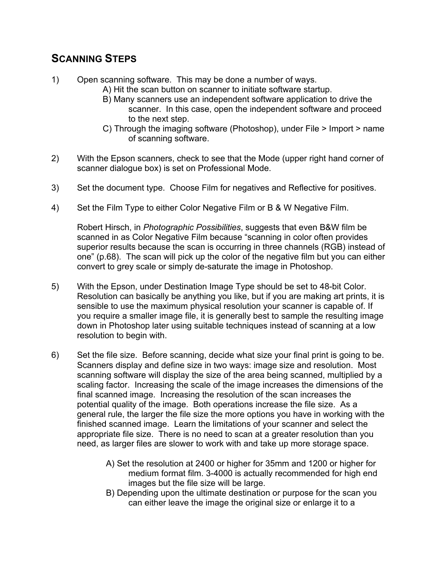## **SCANNING STEPS**

- 1) Open scanning software. This may be done a number of ways.
	- A) Hit the scan button on scanner to initiate software startup.
		- B) Many scanners use an independent software application to drive the scanner. In this case, open the independent software and proceed to the next step.
		- C) Through the imaging software (Photoshop), under File > Import > name of scanning software.
- 2) With the Epson scanners, check to see that the Mode (upper right hand corner of scanner dialogue box) is set on Professional Mode.
- 3) Set the document type. Choose Film for negatives and Reflective for positives.
- 4) Set the Film Type to either Color Negative Film or B & W Negative Film.

Robert Hirsch, in *Photographic Possibilities*, suggests that even B&W film be scanned in as Color Negative Film because "scanning in color often provides superior results because the scan is occurring in three channels (RGB) instead of one" (p.68). The scan will pick up the color of the negative film but you can either convert to grey scale or simply de-saturate the image in Photoshop.

- 5) With the Epson, under Destination Image Type should be set to 48-bit Color. Resolution can basically be anything you like, but if you are making art prints, it is sensible to use the maximum physical resolution your scanner is capable of. If you require a smaller image file, it is generally best to sample the resulting image down in Photoshop later using suitable techniques instead of scanning at a low resolution to begin with.
- 6) Set the file size. Before scanning, decide what size your final print is going to be. Scanners display and define size in two ways: image size and resolution. Most scanning software will display the size of the area being scanned, multiplied by a scaling factor. Increasing the scale of the image increases the dimensions of the final scanned image. Increasing the resolution of the scan increases the potential quality of the image. Both operations increase the file size. As a general rule, the larger the file size the more options you have in working with the finished scanned image. Learn the limitations of your scanner and select the appropriate file size. There is no need to scan at a greater resolution than you need, as larger files are slower to work with and take up more storage space.
	- A) Set the resolution at 2400 or higher for 35mm and 1200 or higher for medium format film. 3-4000 is actually recommended for high end images but the file size will be large.
	- B) Depending upon the ultimate destination or purpose for the scan you can either leave the image the original size or enlarge it to a